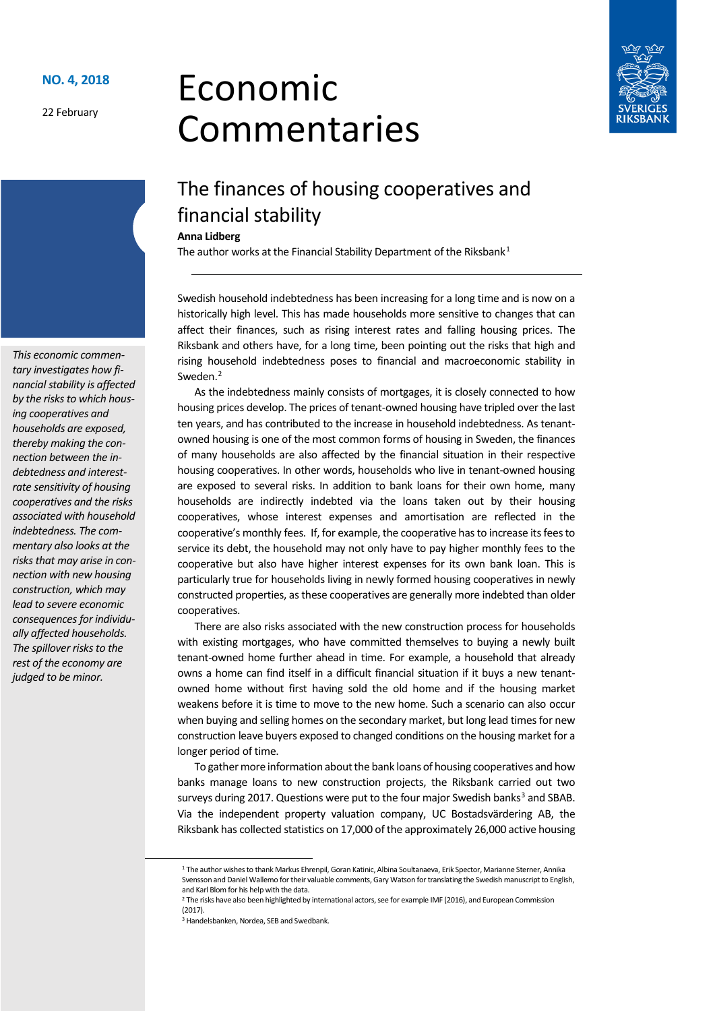**NO. 4, 2018**

22 February

# Economic Commentaries



# The finances of housing cooperatives and financial stability

#### **Anna Lidberg**

The author works at the Financial Stability Department of the Riksbank<sup>[1](#page-0-0)</sup>

Swedish household indebtedness has been increasing for a long time and is now on a historically high level. This has made households more sensitive to changes that can affect their finances, such as rising interest rates and falling housing prices. The Riksbank and others have, for a long time, been pointing out the risks that high and rising household indebtedness poses to financial and macroeconomic stability in Sweden. [2](#page-0-1)

As the indebtedness mainly consists of mortgages, it is closely connected to how housing prices develop. The prices of tenant-owned housing have tripled over the last ten years, and has contributed to the increase in household indebtedness. As tenantowned housing is one of the most common forms of housing in Sweden, the finances of many households are also affected by the financial situation in their respective housing cooperatives. In other words, households who live in tenant-owned housing are exposed to several risks. In addition to bank loans for their own home, many households are indirectly indebted via the loans taken out by their housing cooperatives, whose interest expenses and amortisation are reflected in the cooperative's monthly fees. If, for example, the cooperative has to increase its fees to service its debt, the household may not only have to pay higher monthly fees to the cooperative but also have higher interest expenses for its own bank loan. This is particularly true for households living in newly formed housing cooperatives in newly constructed properties, as these cooperatives are generally more indebted than older cooperatives.

There are also risks associated with the new construction process for households with existing mortgages, who have committed themselves to buying a newly built tenant-owned home further ahead in time. For example, a household that already owns a home can find itself in a difficult financial situation if it buys a new tenantowned home without first having sold the old home and if the housing market weakens before it is time to move to the new home. Such a scenario can also occur when buying and selling homes on the secondary market, but long lead times for new construction leave buyers exposed to changed conditions on the housing market for a longer period of time.

To gather more information about the bank loans of housing cooperatives and how banks manage loans to new construction projects, the Riksbank carried out two surveys during 2017. Questions were put to the four major Swedish banks $3$  and SBAB. Via the independent property valuation company, UC Bostadsvärdering AB, the Riksbank has collected statistics on 17,000 of the approximately 26,000 active housing

*This economic commentary investigates how financial stability is affected*  by the risks to which hous*ing cooperatives and households are exposed, thereby making the connection between the indebtedness and interestrate sensitivity of housing cooperatives and the risks associated with household indebtedness. The commentary also looks at the risks that may arise in connection with new housing construction, which may lead to severe economic consequences for individually affected households. The spillover risks to the rest of the economy are judged to be minor.*

 <sup>1</sup> The author wishes to thank Markus Ehrenpil, Goran Katinic, Albina Soultanaeva, Erik Spector, Marianne Sterner, Annika Svensson and Daniel Wallemo for their valuable comments, Gary Watson for translating the Swedish manuscript to English, and Karl Blom for his help with the data.

<span id="page-0-2"></span><span id="page-0-1"></span><span id="page-0-0"></span> $2$  The risks have also been highlighted by international actors, see for example IMF (2016), and European Commission (2017).

<sup>&</sup>lt;sup>3</sup> Handelsbanken, Nordea, SEB and Swedbank.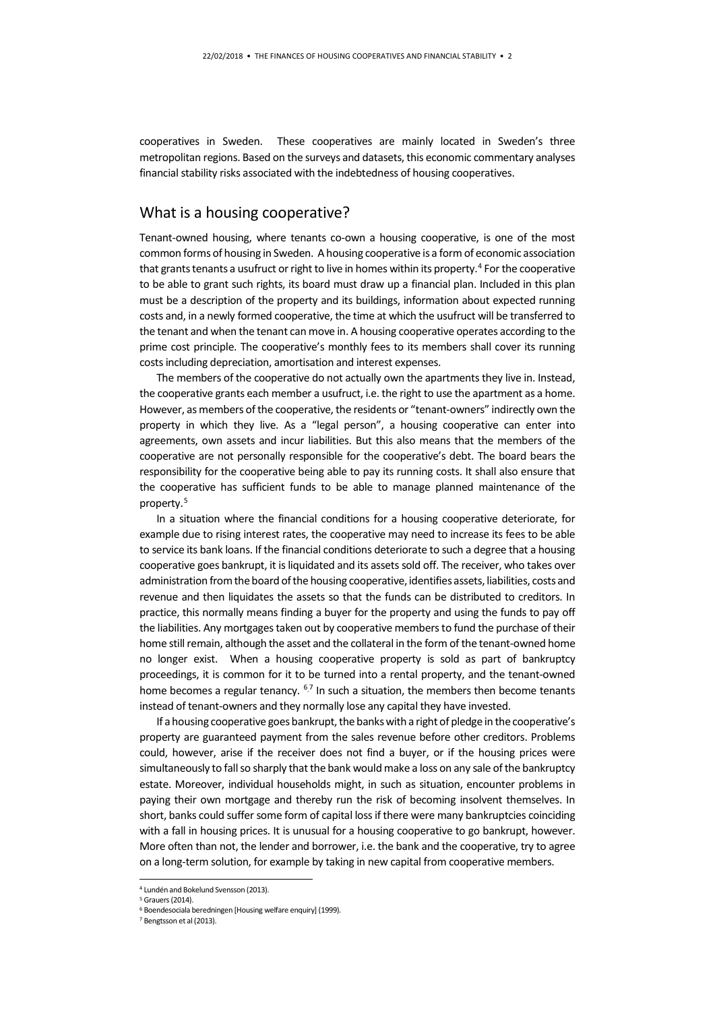cooperatives in Sweden. These cooperatives are mainly located in Sweden's three metropolitan regions. Based on the surveys and datasets, this economic commentary analyses financial stability risks associated with the indebtedness of housing cooperatives.

#### What is a housing cooperative?

Tenant-owned housing, where tenants co-own a housing cooperative, is one of the most common forms of housing in Sweden. A housing cooperative is a form of economic association that grants tenants a usufruct or right to live in homes within its property.<sup>[4](#page-1-0)</sup> For the cooperative to be able to grant such rights, its board must draw up a financial plan. Included in this plan must be a description of the property and its buildings, information about expected running costs and, in a newly formed cooperative, the time at which the usufruct will be transferred to the tenant and when the tenant can move in. A housing cooperative operates according to the prime cost principle. The cooperative's monthly fees to its members shall cover its running costs including depreciation, amortisation and interest expenses.

The members of the cooperative do not actually own the apartments they live in. Instead, the cooperative grants each member a usufruct, i.e. the right to use the apartment as a home. However, as members of the cooperative, the residents or "tenant-owners" indirectly own the property in which they live. As a "legal person", a housing cooperative can enter into agreements, own assets and incur liabilities. But this also means that the members of the cooperative are not personally responsible for the cooperative's debt. The board bears the responsibility for the cooperative being able to pay its running costs. It shall also ensure that the cooperative has sufficient funds to be able to manage planned maintenance of the property.[5](#page-1-1)

In a situation where the financial conditions for a housing cooperative deteriorate, for example due to rising interest rates, the cooperative may need to increase its fees to be able to service its bank loans. If the financial conditions deteriorate to such a degree that a housing cooperative goes bankrupt, it is liquidated and its assets sold off. The receiver, who takes over administration from the board of the housing cooperative, identifies assets, liabilities, costs and revenue and then liquidates the assets so that the funds can be distributed to creditors. In practice, this normally means finding a buyer for the property and using the funds to pay off the liabilities. Any mortgages taken out by cooperative members to fund the purchase of their home still remain, although the asset and the collateral in the form of the tenant-owned home no longer exist. When a housing cooperative property is sold as part of bankruptcy proceedings, it is common for it to be turned into a rental property, and the tenant-owned home becomes a regular tenancy. <sup>[6](#page-1-2),[7](#page-1-3)</sup> In such a situation, the members then become tenants instead of tenant-owners and they normally lose any capital they have invested.

If a housing cooperative goes bankrupt, the banks with a right of pledge in the cooperative's property are guaranteed payment from the sales revenue before other creditors. Problems could, however, arise if the receiver does not find a buyer, or if the housing prices were simultaneously to fall so sharply that the bank would make a loss on any sale of the bankruptcy estate. Moreover, individual households might, in such as situation, encounter problems in paying their own mortgage and thereby run the risk of becoming insolvent themselves. In short, banks could suffer some form of capital loss if there were many bankruptcies coinciding with a fall in housing prices. It is unusual for a housing cooperative to go bankrupt, however. More often than not, the lender and borrower, i.e. the bank and the cooperative, try to agree on a long-term solution, for example by taking in new capital from cooperative members.

 <sup>4</sup> Lundén and Bokelund Svensson (2013).

<span id="page-1-1"></span><span id="page-1-0"></span><sup>5</sup> Grauers(2014).

<span id="page-1-2"></span><sup>6</sup> Boendesociala beredningen [Housing welfare enquiry] (1999).

<span id="page-1-3"></span><sup>7</sup> Bengtsson et al (2013).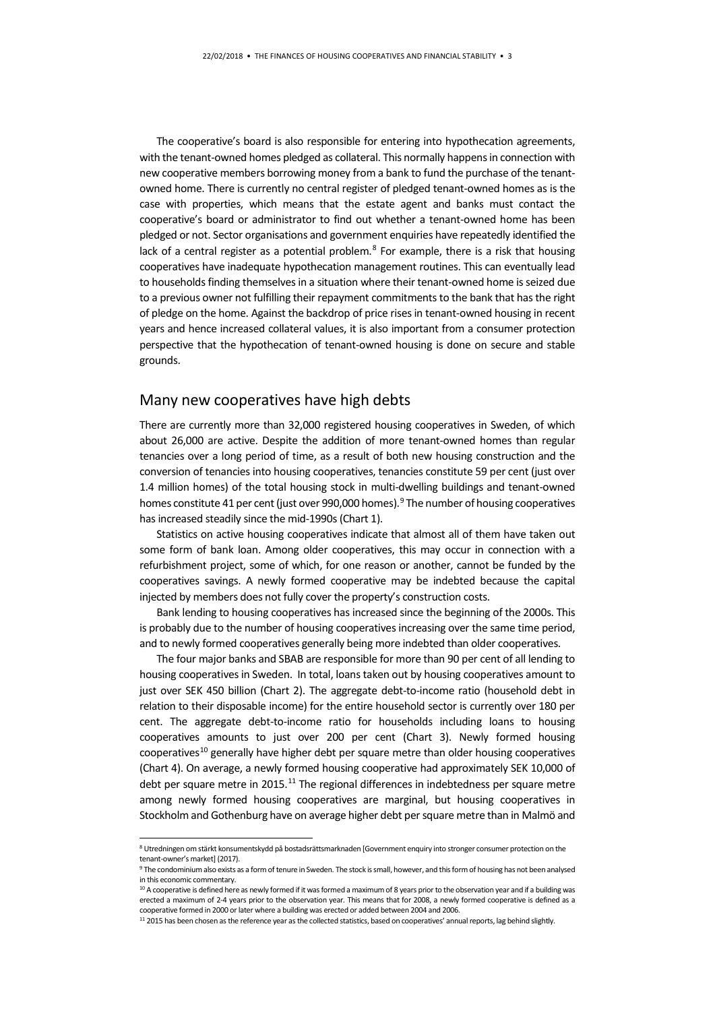The cooperative's board is also responsible for entering into hypothecation agreements, with the tenant-owned homes pledged as collateral. This normally happens in connection with new cooperative members borrowing money from a bank to fund the purchase of the tenantowned home. There is currently no central register of pledged tenant-owned homes as is the case with properties, which means that the estate agent and banks must contact the cooperative's board or administrator to find out whether a tenant-owned home has been pledged or not. Sector organisations and government enquiries have repeatedly identified the lack of a central register as a potential problem. $8$  For example, there is a risk that housing cooperatives have inadequate hypothecation management routines. This can eventually lead to households finding themselves in a situation where their tenant-owned home is seized due to a previous owner not fulfilling their repayment commitments to the bank that has the right of pledge on the home. Against the backdrop of price rises in tenant-owned housing in recent years and hence increased collateral values, it is also important from a consumer protection perspective that the hypothecation of tenant-owned housing is done on secure and stable grounds.

#### Many new cooperatives have high debts

There are currently more than 32,000 registered housing cooperatives in Sweden, of which about 26,000 are active. Despite the addition of more tenant-owned homes than regular tenancies over a long period of time, as a result of both new housing construction and the conversion of tenancies into housing cooperatives, tenancies constitute 59 per cent (just over 1.4 million homes) of the total housing stock in multi-dwelling buildings and tenant-owned homes constitute 41 per cent (just over [9](#page-2-1)90,000 homes).<sup>9</sup> The number of housing cooperatives has increased steadily since the mid-1990s (Chart 1).

Statistics on active housing cooperatives indicate that almost all of them have taken out some form of bank loan. Among older cooperatives, this may occur in connection with a refurbishment project, some of which, for one reason or another, cannot be funded by the cooperatives savings. A newly formed cooperative may be indebted because the capital injected by members does not fully cover the property's construction costs.

Bank lending to housing cooperatives has increased since the beginning of the 2000s. This is probably due to the number of housing cooperatives increasing over the same time period, and to newly formed cooperatives generally being more indebted than older cooperatives.

The four major banks and SBAB are responsible for more than 90 per cent of all lending to housing cooperatives in Sweden. In total, loans taken out by housing cooperatives amount to just over SEK 450 billion (Chart 2). The aggregate debt-to-income ratio (household debt in relation to their disposable income) for the entire household sector is currently over 180 per cent. The aggregate debt-to-income ratio for households including loans to housing cooperatives amounts to just over 200 per cent (Chart 3). Newly formed housing cooperatives<sup>[10](#page-2-2)</sup> generally have higher debt per square metre than older housing cooperatives (Chart 4). On average, a newly formed housing cooperative had approximately SEK 10,000 of debt per square metre in 2015.<sup>[11](#page-2-3)</sup> The regional differences in indebtedness per square metre among newly formed housing cooperatives are marginal, but housing cooperatives in Stockholm and Gothenburg have on average higher debt per square metre than in Malmö and

<span id="page-2-0"></span> <sup>8</sup> Utredningen om stärkt konsumentskydd på bostadsrättsmarknaden [Government enquiry into stronger consumer protection on the tenant-owner's market] (2017).

<span id="page-2-1"></span><sup>9</sup> The condominium also exists as a form of tenure in Sweden. The stock is small, however, and this form of housing has not been analysed in this economic commentary.

<span id="page-2-2"></span><sup>&</sup>lt;sup>10</sup> A cooperative is defined here as newly formed if it was formed a maximum of 8 years prior to the observation year and if a building was erected a maximum of 2-4 years prior to the observation year. This means that for 2008, a newly formed cooperative is defined as a cooperative formed in 2000 or later where a building was erected or added between 2004 and 2006.

<span id="page-2-3"></span><sup>&</sup>lt;sup>11</sup> 2015 has been chosen as the reference year as the collected statistics, based on cooperatives' annual reports, lag behind slightly.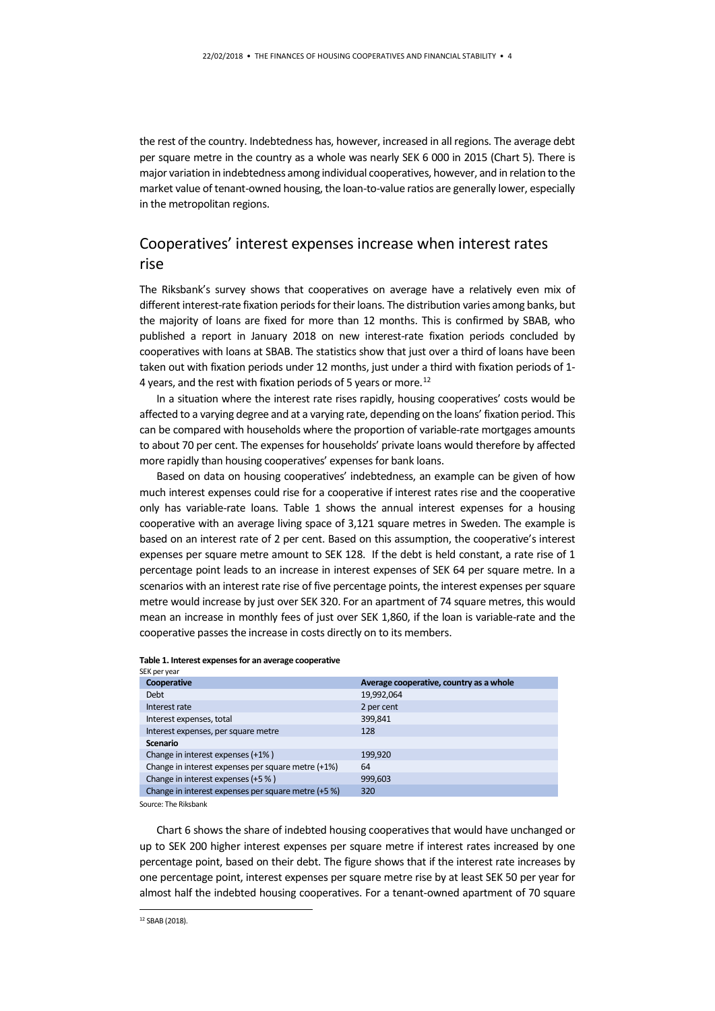the rest of the country. Indebtedness has, however, increased in all regions. The average debt per square metre in the country as a whole was nearly SEK 6 000 in 2015 (Chart 5). There is major variation in indebtedness among individual cooperatives, however, and in relation to the market value of tenant-owned housing, the loan-to-value ratios are generally lower, especially in the metropolitan regions.

### Cooperatives' interest expenses increase when interest rates rise

The Riksbank's survey shows that cooperatives on average have a relatively even mix of different interest-rate fixation periods for their loans. The distribution varies among banks, but the majority of loans are fixed for more than 12 months. This is confirmed by SBAB, who published a report in January 2018 on new interest-rate fixation periods concluded by cooperatives with loans at SBAB. The statistics show that just over a third of loans have been taken out with fixation periods under 12 months, just under a third with fixation periods of 1- 4 years, and the rest with fixation periods of 5 years or more.<sup>12</sup>

In a situation where the interest rate rises rapidly, housing cooperatives' costs would be affected to a varying degree and at a varying rate, depending on the loans' fixation period. This can be compared with households where the proportion of variable-rate mortgages amounts to about 70 per cent. The expenses for households' private loans would therefore by affected more rapidly than housing cooperatives' expenses for bank loans.

Based on data on housing cooperatives' indebtedness, an example can be given of how much interest expenses could rise for a cooperative if interest rates rise and the cooperative only has variable-rate loans. Table 1 shows the annual interest expenses for a housing cooperative with an average living space of 3,121 square metres in Sweden. The example is based on an interest rate of 2 per cent. Based on this assumption, the cooperative's interest expenses per square metre amount to SEK 128. If the debt is held constant, a rate rise of 1 percentage point leads to an increase in interest expenses of SEK 64 per square metre. In a scenarios with an interest rate rise of five percentage points, the interest expenses per square metre would increase by just over SEK 320. For an apartment of 74 square metres, this would mean an increase in monthly fees of just over SEK 1,860, if the loan is variable-rate and the cooperative passes the increase in costs directly on to its members.

#### **Table 1. Interest expenses for an average cooperative** SEK per year

| Cooperative                                         | Average cooperative, country as a whole |
|-----------------------------------------------------|-----------------------------------------|
| <b>Debt</b>                                         | 19,992,064                              |
| Interest rate                                       | 2 per cent                              |
| Interest expenses, total                            | 399,841                                 |
| Interest expenses, per square metre                 | 128                                     |
| <b>Scenario</b>                                     |                                         |
| Change in interest expenses (+1%)                   | 199.920                                 |
| Change in interest expenses per square metre (+1%)  | 64                                      |
| Change in interest expenses (+5 %)                  | 999,603                                 |
| Change in interest expenses per square metre (+5 %) | 320                                     |

Source: The Riksbank

<span id="page-3-0"></span>Chart 6 shows the share of indebted housing cooperatives that would have unchanged or up to SEK 200 higher interest expenses per square metre if interest rates increased by one percentage point, based on their debt. The figure shows that if the interest rate increases by one percentage point, interest expenses per square metre rise by at least SEK 50 per year for almost half the indebted housing cooperatives. For a tenant-owned apartment of 70 square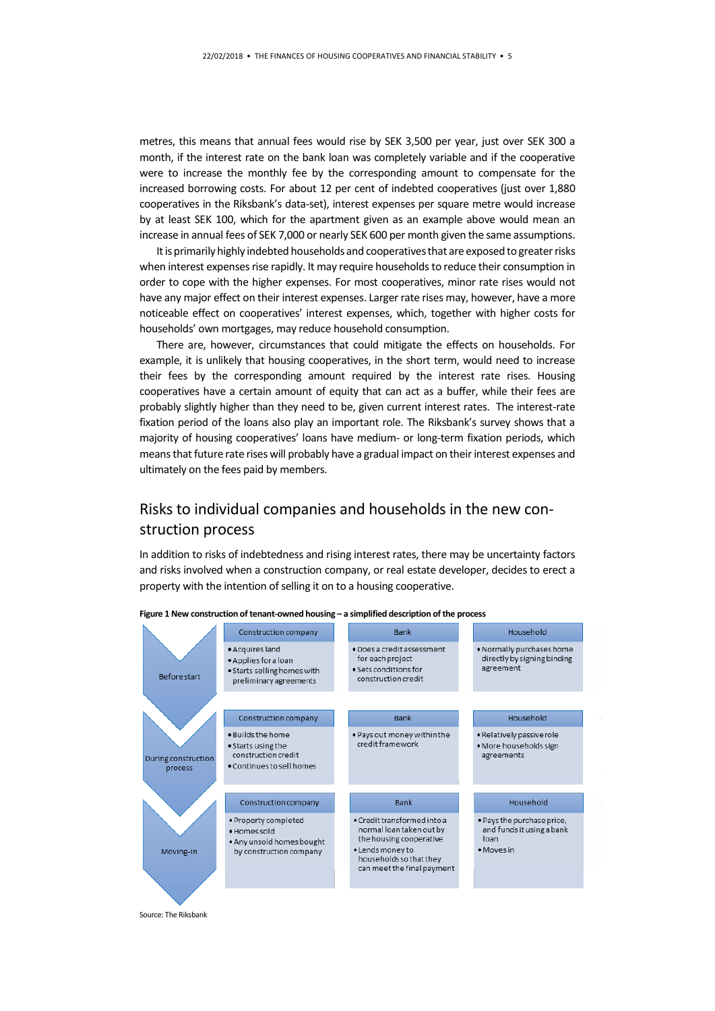metres, this means that annual fees would rise by SEK 3,500 per year, just over SEK 300 a month, if the interest rate on the bank loan was completely variable and if the cooperative were to increase the monthly fee by the corresponding amount to compensate for the increased borrowing costs. For about 12 per cent of indebted cooperatives (just over 1,880 cooperatives in the Riksbank's data-set), interest expenses per square metre would increase by at least SEK 100, which for the apartment given as an example above would mean an increase in annual fees of SEK 7,000 or nearly SEK 600 per month given the same assumptions.

It is primarily highly indebted households and cooperatives that are exposed to greater risks when interest expenses rise rapidly. It may require households to reduce their consumption in order to cope with the higher expenses. For most cooperatives, minor rate rises would not have any major effect on their interest expenses. Larger rate rises may, however, have a more noticeable effect on cooperatives' interest expenses, which, together with higher costs for households' own mortgages, may reduce household consumption.

There are, however, circumstances that could mitigate the effects on households. For example, it is unlikely that housing cooperatives, in the short term, would need to increase their fees by the corresponding amount required by the interest rate rises. Housing cooperatives have a certain amount of equity that can act as a buffer, while their fees are probably slightly higher than they need to be, given current interest rates. The interest-rate fixation period of the loans also play an important role. The Riksbank's survey shows that a majority of housing cooperatives' loans have medium- or long-term fixation periods, which means that future rate rises will probably have a gradual impact on their interest expenses and ultimately on the fees paid by members.

## Risks to individual companies and households in the new construction process

In addition to risks of indebtedness and rising interest rates, there may be uncertainty factors and risks involved when a construction company, or real estate developer, decides to erect a property with the intention of selling it on to a housing cooperative.



**Figure 1 New construction of tenant-owned housing – a simplified description of the process**

Source: The Riksbank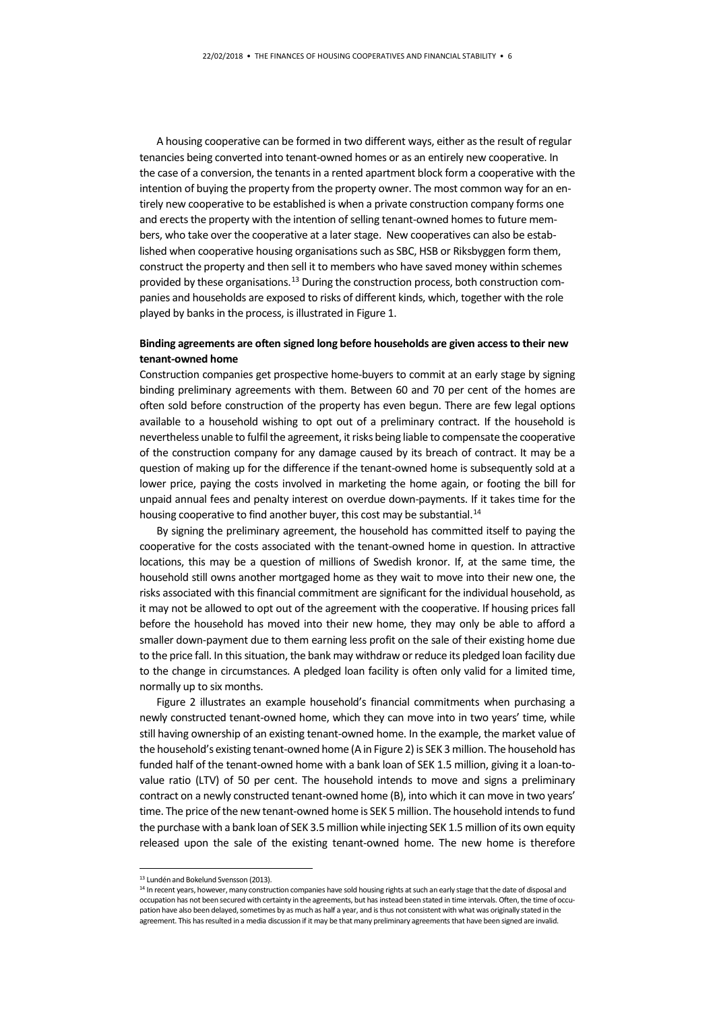A housing cooperative can be formed in two different ways, either as the result of regular tenancies being converted into tenant-owned homes or as an entirely new cooperative. In the case of a conversion, the tenants in a rented apartment block form a cooperative with the intention of buying the property from the property owner. The most common way for an entirely new cooperative to be established is when a private construction company forms one and erects the property with the intention of selling tenant-owned homes to future members, who take over the cooperative at a later stage. New cooperatives can also be established when cooperative housing organisations such as SBC, HSB or Riksbyggen form them, construct the property and then sell it to members who have saved money within schemes provided by these organisations. [13](#page-5-0) During the construction process, both construction companies and households are exposed to risks of different kinds, which, together with the role played by banks in the process, is illustrated in Figure 1.

#### **Binding agreements are often signed long before households are given access to their new tenant-owned home**

Construction companies get prospective home-buyers to commit at an early stage by signing binding preliminary agreements with them. Between 60 and 70 per cent of the homes are often sold before construction of the property has even begun. There are few legal options available to a household wishing to opt out of a preliminary contract. If the household is nevertheless unable to fulfil the agreement, it risks being liable to compensate the cooperative of the construction company for any damage caused by its breach of contract. It may be a question of making up for the difference if the tenant-owned home is subsequently sold at a lower price, paying the costs involved in marketing the home again, or footing the bill for unpaid annual fees and penalty interest on overdue down-payments. If it takes time for the housing cooperative to find another buyer, this cost may be substantial.<sup>[14](#page-5-1)</sup>

By signing the preliminary agreement, the household has committed itself to paying the cooperative for the costs associated with the tenant-owned home in question. In attractive locations, this may be a question of millions of Swedish kronor. If, at the same time, the household still owns another mortgaged home as they wait to move into their new one, the risks associated with this financial commitment are significant for the individual household, as it may not be allowed to opt out of the agreement with the cooperative. If housing prices fall before the household has moved into their new home, they may only be able to afford a smaller down-payment due to them earning less profit on the sale of their existing home due to the price fall. In this situation, the bank may withdraw or reduce its pledged loan facility due to the change in circumstances. A pledged loan facility is often only valid for a limited time, normally up to six months.

Figure 2 illustrates an example household's financial commitments when purchasing a newly constructed tenant-owned home, which they can move into in two years' time, while still having ownership of an existing tenant-owned home. In the example, the market value of the household's existing tenant-owned home (A in Figure 2) is SEK 3 million. The household has funded half of the tenant-owned home with a bank loan of SEK 1.5 million, giving it a loan-tovalue ratio (LTV) of 50 per cent. The household intends to move and signs a preliminary contract on a newly constructed tenant-owned home (B), into which it can move in two years' time. The price of the new tenant-owned home is SEK 5 million. The household intends to fund the purchase with a bank loan of SEK 3.5 million while injecting SEK 1.5 million of its own equity released upon the sale of the existing tenant-owned home. The new home is therefore

 <sup>13</sup> Lundén and Bokelund Svensson (2013).

<span id="page-5-1"></span><span id="page-5-0"></span><sup>14</sup> In recent years, however, many construction companies have sold housing rights at such an early stage that the date of disposal and occupation has not been secured with certainty in the agreements, but has instead been stated in time intervals. Often, the time of occupation have also been delayed, sometimes by as much as half a year, and is thus not consistent with what was originally stated in the agreement. This has resulted in a media discussion if it may be that many preliminary agreements that have been signed are invalid.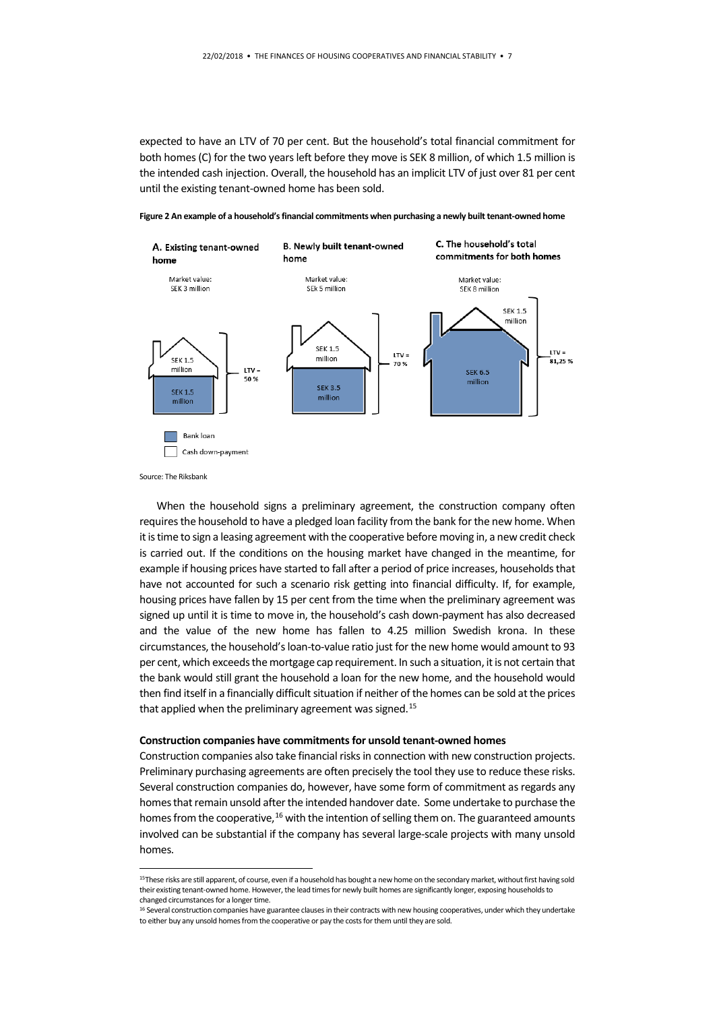expected to have an LTV of 70 per cent. But the household's total financial commitment for both homes (C) for the two years left before they move is SEK 8 million, of which 1.5 million is the intended cash injection. Overall, the household has an implicit LTV of just over 81 per cent until the existing tenant-owned home has been sold.

C. The household's total **B. Newly built tenant-owned** A. Existing tenant-owned commitments for both homes home home Market value: Market value: Market value: SEK 3 million SEk 5 million SEK 8 million **SEK 1.5** million **SEK 1.5**  $LTV =$ LTV = **SEK 1.5** million 81,25 % 70% million  $LTV =$ **SEK 6.5** 50% million **SEK 3.5 SEK 1.5** millior million

**Figure 2 An example of a household's financial commitments when purchasing a newly built tenant-owned home**

Source: The Riksbank

Bank loan Cash down-payment

When the household signs a preliminary agreement, the construction company often requires the household to have a pledged loan facility from the bank for the new home. When it is time to sign a leasing agreement with the cooperative before moving in, a new credit check is carried out. If the conditions on the housing market have changed in the meantime, for example if housing prices have started to fall after a period of price increases, households that have not accounted for such a scenario risk getting into financial difficulty. If, for example, housing prices have fallen by 15 per cent from the time when the preliminary agreement was signed up until it is time to move in, the household's cash down-payment has also decreased and the value of the new home has fallen to 4.25 million Swedish krona. In these circumstances, the household's loan-to-value ratio just for the new home would amount to 93 per cent, which exceeds the mortgage cap requirement. In such a situation, it is not certain that the bank would still grant the household a loan for the new home, and the household would then find itself in a financially difficult situation if neither of the homes can be sold at the prices that applied when the preliminary agreement was signed.<sup>[15](#page-6-0)</sup>

#### **Construction companies have commitments for unsold tenant-owned homes**

Construction companies also take financial risks in connection with new construction projects. Preliminary purchasing agreements are often precisely the tool they use to reduce these risks. Several construction companies do, however, have some form of commitment as regards any homes that remain unsold after the intended handover date. Some undertake to purchase the homes from the cooperative,<sup>[16](#page-6-1)</sup> with the intention of selling them on. The guaranteed amounts involved can be substantial if the company has several large-scale projects with many unsold homes.

<span id="page-6-0"></span><sup>15</sup>These risks are still apparent, of course, even if a household has bought a new home on the secondary market, without first having sold their existing tenant-owned home. However, the lead times for newly built homes are significantly longer, exposing households to changed circumstances for a longer time.

<span id="page-6-1"></span><sup>&</sup>lt;sup>16</sup> Several construction companies have guarantee clauses in their contracts with new housing cooperatives, under which they undertake to either buy any unsold homes from the cooperative or pay the costs for them until they are sold.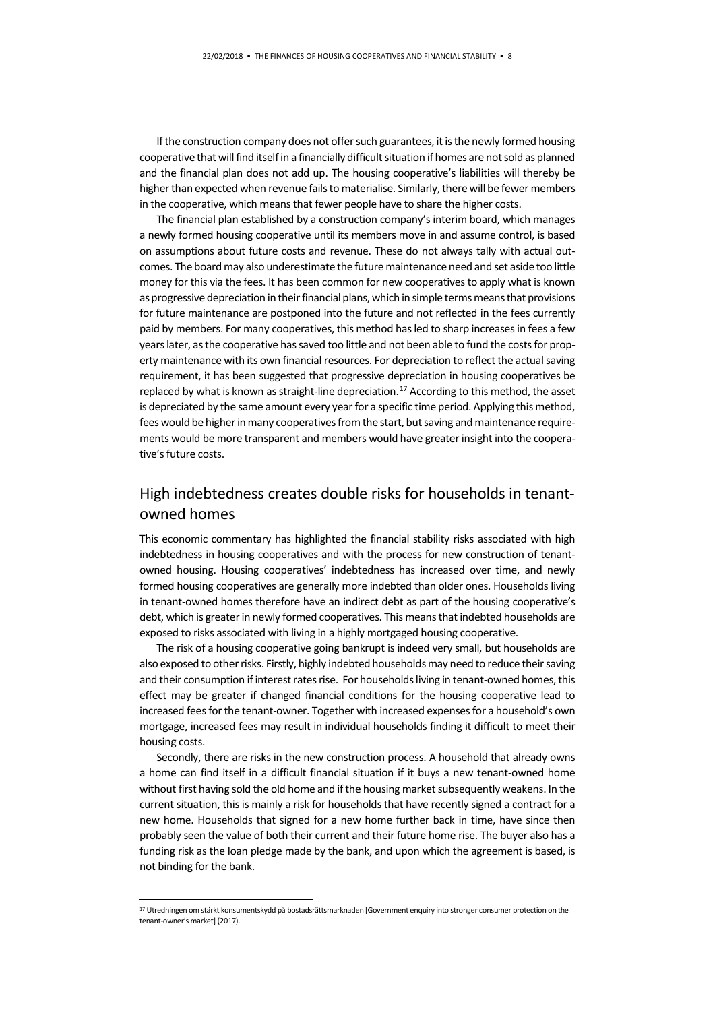If the construction company does not offer such guarantees, it is the newly formed housing cooperative that will find itself in a financially difficult situation if homes are not sold as planned and the financial plan does not add up. The housing cooperative's liabilities will thereby be higher than expected when revenue fails to materialise. Similarly, there will be fewer members in the cooperative, which means that fewer people have to share the higher costs.

The financial plan established by a construction company's interim board, which manages a newly formed housing cooperative until its members move in and assume control, is based on assumptions about future costs and revenue. These do not always tally with actual outcomes. The board may also underestimate the future maintenance need and set aside too little money for this via the fees. It has been common for new cooperatives to apply what is known as progressive depreciation in their financial plans, which in simple terms means that provisions for future maintenance are postponed into the future and not reflected in the fees currently paid by members. For many cooperatives, this method has led to sharp increases in fees a few years later, as the cooperative has saved too little and not been able to fund the costs for property maintenance with its own financial resources. For depreciation to reflect the actual saving requirement, it has been suggested that progressive depreciation in housing cooperatives be replaced by what is known as straight-line depreciation.<sup>[17](#page-7-0)</sup> According to this method, the asset is depreciated by the same amount every year for a specific time period. Applying this method, fees would be higher in many cooperatives from the start, but saving and maintenance requirements would be more transparent and members would have greater insight into the cooperative's future costs.

## High indebtedness creates double risks for households in tenantowned homes

This economic commentary has highlighted the financial stability risks associated with high indebtedness in housing cooperatives and with the process for new construction of tenantowned housing. Housing cooperatives' indebtedness has increased over time, and newly formed housing cooperatives are generally more indebted than older ones. Households living in tenant-owned homes therefore have an indirect debt as part of the housing cooperative's debt, which is greater in newly formed cooperatives. This means that indebted households are exposed to risks associated with living in a highly mortgaged housing cooperative.

The risk of a housing cooperative going bankrupt is indeed very small, but households are also exposed to other risks. Firstly, highly indebted households may need to reduce their saving and their consumption if interest rates rise. For households living in tenant-owned homes, this effect may be greater if changed financial conditions for the housing cooperative lead to increased fees for the tenant-owner. Together with increased expenses for a household's own mortgage, increased fees may result in individual households finding it difficult to meet their housing costs.

Secondly, there are risks in the new construction process. A household that already owns a home can find itself in a difficult financial situation if it buys a new tenant-owned home without first having sold the old home and if the housing market subsequently weakens. In the current situation, this is mainly a risk for households that have recently signed a contract for a new home. Households that signed for a new home further back in time, have since then probably seen the value of both their current and their future home rise. The buyer also has a funding risk as the loan pledge made by the bank, and upon which the agreement is based, is not binding for the bank.

<span id="page-7-0"></span><sup>&</sup>lt;sup>17</sup> Utredningen om stärkt konsumentskydd på bostadsrättsmarknaden [Government enquiry into stronger consumer protection on the tenant-owner's market] (2017).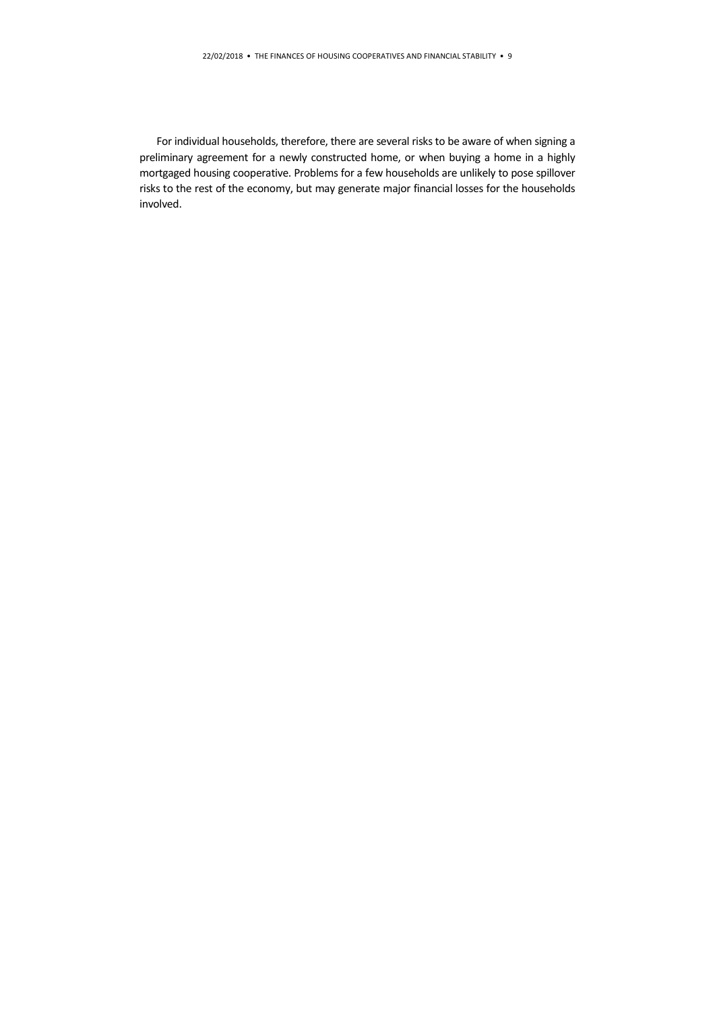For individual households, therefore, there are several risks to be aware of when signing a preliminary agreement for a newly constructed home, or when buying a home in a highly mortgaged housing cooperative. Problems for a few households are unlikely to pose spillover risks to the rest of the economy, but may generate major financial losses for the households involved.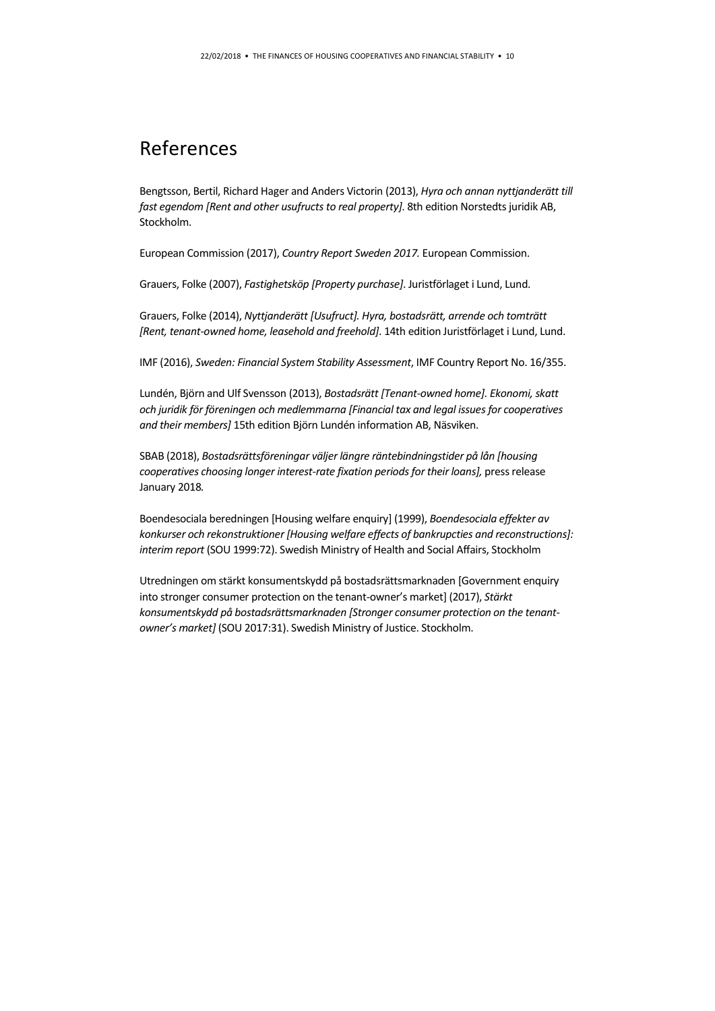## References

Bengtsson, Bertil, Richard Hager and Anders Victorin (2013), *Hyra och annan nyttjanderätt till fast egendom [Rent and other usufructs to real property]*. 8th edition Norstedts juridik AB, Stockholm.

European Commission (2017), *Country Report Sweden 2017.* European Commission.

Grauers, Folke (2007), *Fastighetsköp [Property purchase]*. Juristförlaget i Lund, Lund.

Grauers, Folke (2014), *Nyttjanderätt [Usufruct]. Hyra, bostadsrätt, arrende och tomträtt [Rent, tenant-owned home, leasehold and freehold]*. 14th edition Juristförlaget i Lund, Lund.

IMF (2016), *Sweden: Financial System Stability Assessment*, IMF Country Report No. 16/355.

Lundén, Björn and Ulf Svensson (2013), *Bostadsrätt [Tenant-owned home]. Ekonomi, skatt och juridik för föreningen och medlemmarna [Financial tax and legal issues for cooperatives and their members]* 15th edition Björn Lundén information AB, Näsviken.

SBAB (2018), *Bostadsrättsföreningar väljer längre räntebindningstider på lån [housing*  cooperatives choosing longer interest-rate fixation periods for their loans], press release January 2018*.* 

Boendesociala beredningen [Housing welfare enquiry] (1999), *Boendesociala effekter av konkurser och rekonstruktioner [Housing welfare effects of bankrupcties and reconstructions]: interim report* (SOU 1999:72). Swedish Ministry of Health and Social Affairs, Stockholm

Utredningen om stärkt konsumentskydd på bostadsrättsmarknaden [Government enquiry into stronger consumer protection on the tenant-owner's market] (2017), *Stärkt konsumentskydd på bostadsrättsmarknaden [Stronger consumer protection on the tenantowner's market]* (SOU 2017:31). Swedish Ministry of Justice. Stockholm.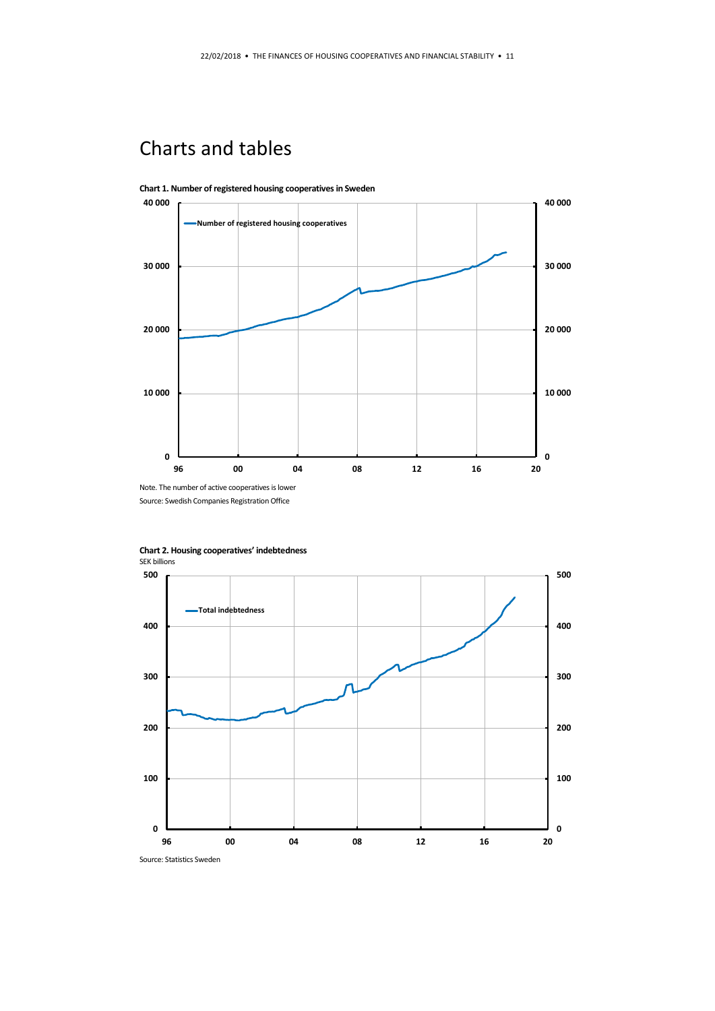# Charts and tables



**Chart 1. Number of registered housing cooperatives in Sweden**

Source: Swedish Companies Registration Office



**Chart 2. Housing cooperatives' indebtedness**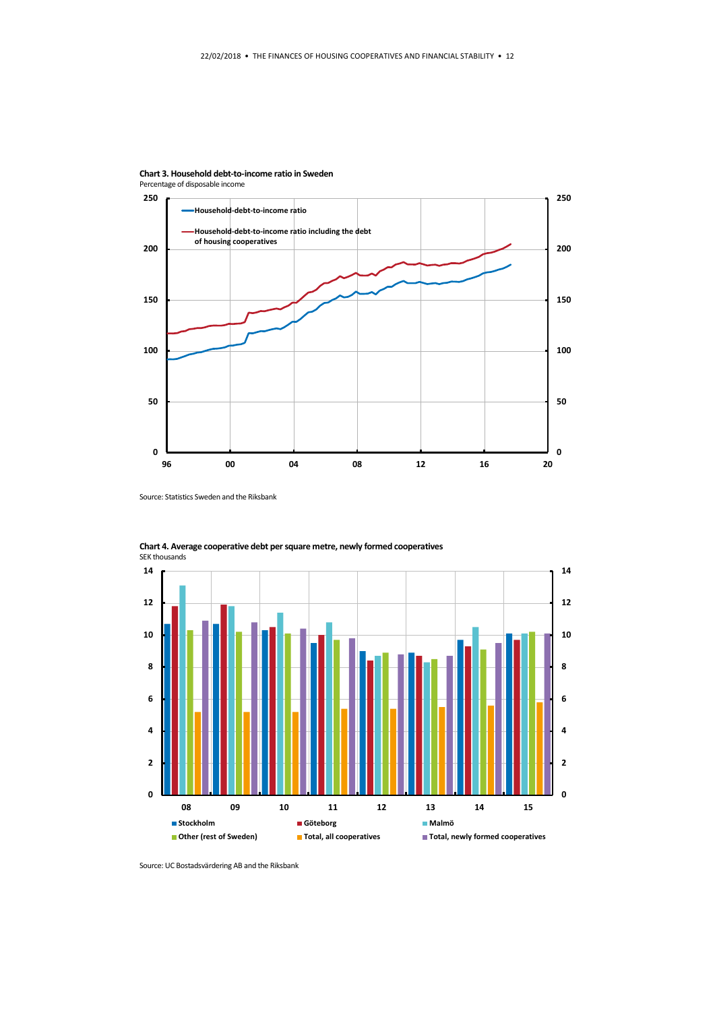



Source: Statistics Sweden and the Riksbank



**Chart 4. Average cooperative debt per square metre, newly formed cooperatives** SEK thousands

Source: UC Bostadsvärdering AB and the Riksbank